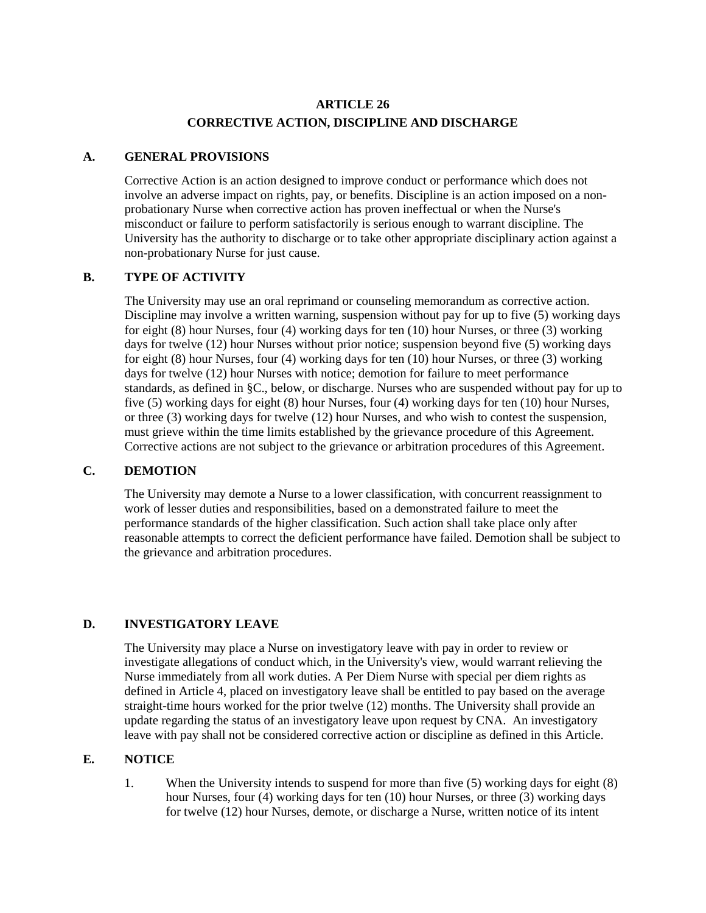# **ARTICLE 26 CORRECTIVE ACTION, DISCIPLINE AND DISCHARGE**

#### **A. GENERAL PROVISIONS**

Corrective Action is an action designed to improve conduct or performance which does not involve an adverse impact on rights, pay, or benefits. Discipline is an action imposed on a nonprobationary Nurse when corrective action has proven ineffectual or when the Nurse's misconduct or failure to perform satisfactorily is serious enough to warrant discipline. The University has the authority to discharge or to take other appropriate disciplinary action against a non-probationary Nurse for just cause.

#### **B. TYPE OF ACTIVITY**

The University may use an oral reprimand or counseling memorandum as corrective action. Discipline may involve a written warning, suspension without pay for up to five (5) working days for eight (8) hour Nurses, four (4) working days for ten (10) hour Nurses, or three (3) working days for twelve (12) hour Nurses without prior notice; suspension beyond five (5) working days for eight (8) hour Nurses, four (4) working days for ten (10) hour Nurses, or three (3) working days for twelve (12) hour Nurses with notice; demotion for failure to meet performance standards, as defined in §C., below, or discharge. Nurses who are suspended without pay for up to five (5) working days for eight (8) hour Nurses, four (4) working days for ten (10) hour Nurses, or three (3) working days for twelve (12) hour Nurses, and who wish to contest the suspension, must grieve within the time limits established by the grievance procedure of this Agreement. Corrective actions are not subject to the grievance or arbitration procedures of this Agreement.

#### **C. DEMOTION**

The University may demote a Nurse to a lower classification, with concurrent reassignment to work of lesser duties and responsibilities, based on a demonstrated failure to meet the performance standards of the higher classification. Such action shall take place only after reasonable attempts to correct the deficient performance have failed. Demotion shall be subject to the grievance and arbitration procedures.

### **D. INVESTIGATORY LEAVE**

The University may place a Nurse on investigatory leave with pay in order to review or investigate allegations of conduct which, in the University's view, would warrant relieving the Nurse immediately from all work duties. A Per Diem Nurse with special per diem rights as defined in Article 4, placed on investigatory leave shall be entitled to pay based on the average straight-time hours worked for the prior twelve (12) months. The University shall provide an update regarding the status of an investigatory leave upon request by CNA. An investigatory leave with pay shall not be considered corrective action or discipline as defined in this Article.

### **E. NOTICE**

1. When the University intends to suspend for more than five (5) working days for eight (8) hour Nurses, four (4) working days for ten (10) hour Nurses, or three (3) working days for twelve (12) hour Nurses, demote, or discharge a Nurse, written notice of its intent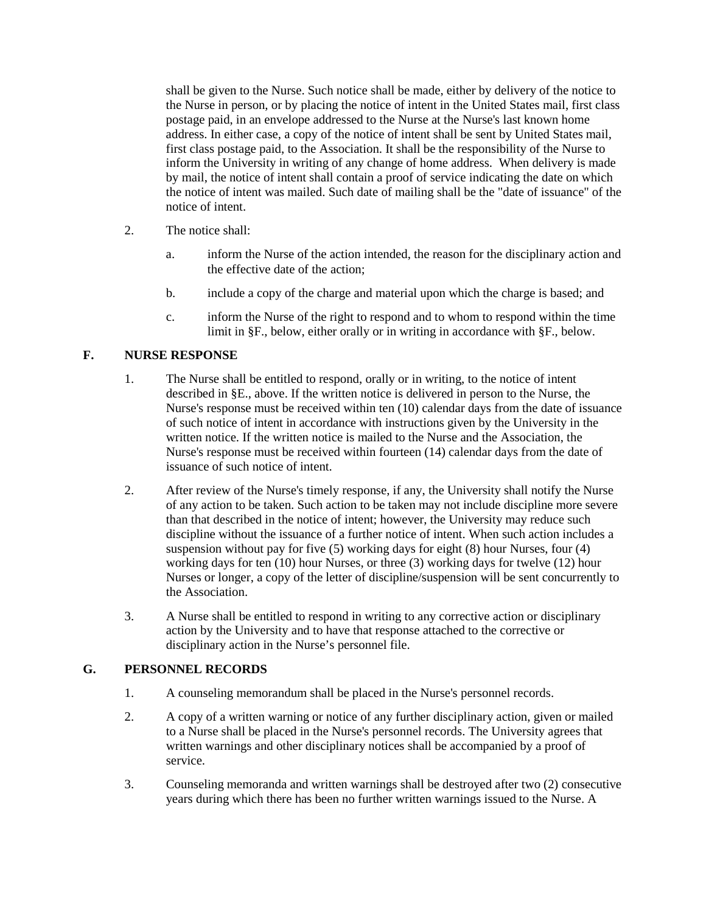shall be given to the Nurse. Such notice shall be made, either by delivery of the notice to the Nurse in person, or by placing the notice of intent in the United States mail, first class postage paid, in an envelope addressed to the Nurse at the Nurse's last known home address. In either case, a copy of the notice of intent shall be sent by United States mail, first class postage paid, to the Association. It shall be the responsibility of the Nurse to inform the University in writing of any change of home address. When delivery is made by mail, the notice of intent shall contain a proof of service indicating the date on which the notice of intent was mailed. Such date of mailing shall be the "date of issuance" of the notice of intent.

- 2. The notice shall:
	- a. inform the Nurse of the action intended, the reason for the disciplinary action and the effective date of the action;
	- b. include a copy of the charge and material upon which the charge is based; and
	- c. inform the Nurse of the right to respond and to whom to respond within the time limit in §F., below, either orally or in writing in accordance with §F., below.

### **F. NURSE RESPONSE**

- 1. The Nurse shall be entitled to respond, orally or in writing, to the notice of intent described in §E., above. If the written notice is delivered in person to the Nurse, the Nurse's response must be received within ten (10) calendar days from the date of issuance of such notice of intent in accordance with instructions given by the University in the written notice. If the written notice is mailed to the Nurse and the Association, the Nurse's response must be received within fourteen (14) calendar days from the date of issuance of such notice of intent.
- 2. After review of the Nurse's timely response, if any, the University shall notify the Nurse of any action to be taken. Such action to be taken may not include discipline more severe than that described in the notice of intent; however, the University may reduce such discipline without the issuance of a further notice of intent. When such action includes a suspension without pay for five (5) working days for eight (8) hour Nurses, four (4) working days for ten (10) hour Nurses, or three (3) working days for twelve (12) hour Nurses or longer, a copy of the letter of discipline/suspension will be sent concurrently to the Association.
- 3. A Nurse shall be entitled to respond in writing to any corrective action or disciplinary action by the University and to have that response attached to the corrective or disciplinary action in the Nurse's personnel file.

### **G. PERSONNEL RECORDS**

- 1. A counseling memorandum shall be placed in the Nurse's personnel records.
- 2. A copy of a written warning or notice of any further disciplinary action, given or mailed to a Nurse shall be placed in the Nurse's personnel records. The University agrees that written warnings and other disciplinary notices shall be accompanied by a proof of service.
- 3. Counseling memoranda and written warnings shall be destroyed after two (2) consecutive years during which there has been no further written warnings issued to the Nurse. A